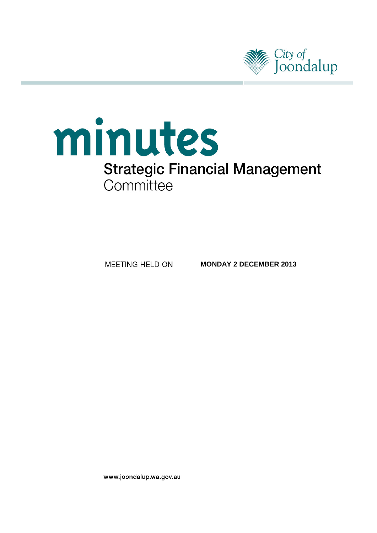

# minutes **Strategic Financial Management** Committee

MEETING HELD ON

**MONDAY 2 DECEMBER 2013**

www.joondalup.wa.gov.au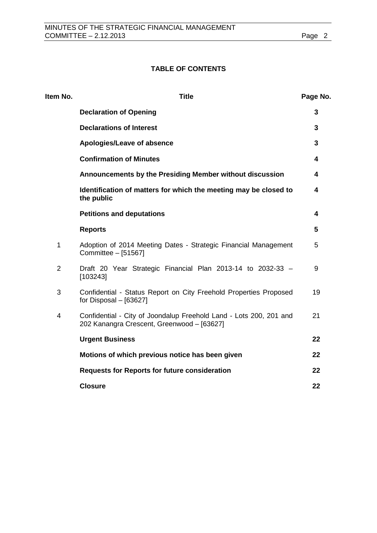# **TABLE OF CONTENTS**

| Item No.       | <b>Title</b>                                                                                                     | Page No. |
|----------------|------------------------------------------------------------------------------------------------------------------|----------|
|                | <b>Declaration of Opening</b>                                                                                    | 3        |
|                | <b>Declarations of Interest</b>                                                                                  | 3        |
|                | Apologies/Leave of absence                                                                                       | 3        |
|                | <b>Confirmation of Minutes</b>                                                                                   | 4        |
|                | Announcements by the Presiding Member without discussion                                                         | 4        |
|                | Identification of matters for which the meeting may be closed to<br>the public                                   | 4        |
|                | <b>Petitions and deputations</b>                                                                                 | 4        |
|                | <b>Reports</b>                                                                                                   | 5        |
| 1              | Adoption of 2014 Meeting Dates - Strategic Financial Management<br>Committee - [51567]                           | 5        |
| $\overline{2}$ | Draft 20 Year Strategic Financial Plan 2013-14 to 2032-33 -<br>[103243]                                          | 9        |
| 3              | Confidential - Status Report on City Freehold Properties Proposed<br>for Disposal $-$ [63627]                    | 19       |
| 4              | Confidential - City of Joondalup Freehold Land - Lots 200, 201 and<br>202 Kanangra Crescent, Greenwood - [63627] | 21       |
|                | <b>Urgent Business</b>                                                                                           | 22       |
|                | Motions of which previous notice has been given                                                                  | 22       |
|                | <b>Requests for Reports for future consideration</b>                                                             | 22       |
|                | <b>Closure</b>                                                                                                   | 22       |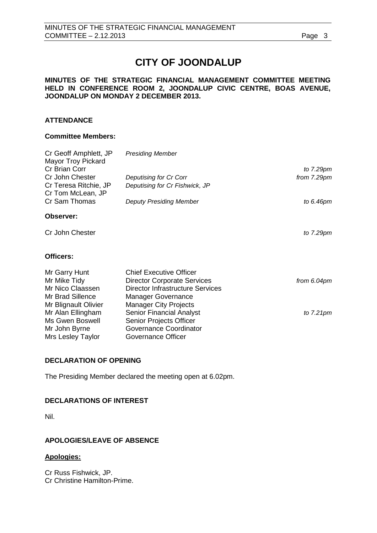# **CITY OF JOONDALUP**

#### **MINUTES OF THE STRATEGIC FINANCIAL MANAGEMENT COMMITTEE MEETING HELD IN CONFERENCE ROOM 2, JOONDALUP CIVIC CENTRE, BOAS AVENUE, JOONDALUP ON MONDAY 2 DECEMBER 2013.**

## **ATTENDANCE**

#### **Committee Members:**

| <b>Presiding Member</b>            |              |
|------------------------------------|--------------|
|                                    | to $7.29$ pm |
| Deputising for Cr Corr             | from 7.29pm  |
| Deputising for Cr Fishwick, JP     |              |
| <b>Deputy Presiding Member</b>     | to 6.46pm    |
|                                    |              |
|                                    | to $7.29$ pm |
|                                    |              |
| <b>Chief Executive Officer</b>     |              |
| <b>Director Corporate Services</b> | from 6.04pm  |
| Director Infrastructure Services   |              |
| <b>Manager Governance</b>          |              |
| <b>Manager City Projects</b>       |              |
| <b>Senior Financial Analyst</b>    | to $7.21$ pm |
| <b>Senior Projects Officer</b>     |              |
| Governance Coordinator             |              |
| Governance Officer                 |              |
|                                    |              |

#### <span id="page-2-0"></span>**DECLARATION OF OPENING**

The Presiding Member declared the meeting open at 6.02pm.

## <span id="page-2-1"></span>**DECLARATIONS OF INTEREST**

Nil.

# <span id="page-2-2"></span>**APOLOGIES/LEAVE OF ABSENCE**

#### **Apologies:**

Cr Russ Fishwick, JP. Cr Christine Hamilton-Prime.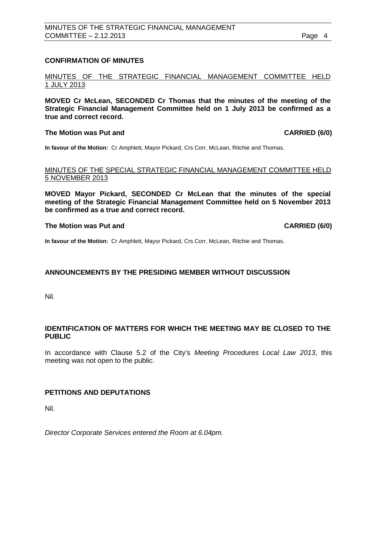## <span id="page-3-0"></span>**CONFIRMATION OF MINUTES**

MINUTES OF THE STRATEGIC FINANCIAL MANAGEMENT COMMITTEE HELD 1 JULY 2013

**MOVED Cr McLean, SECONDED Cr Thomas that the minutes of the meeting of the Strategic Financial Management Committee held on 1 July 2013 be confirmed as a true and correct record.**

#### **The Motion was Put and CARRIED (6/0)**

**In favour of the Motion:** Cr Amphlett, Mayor Pickard, Crs Corr, McLean, Ritchie and Thomas.

#### MINUTES OF THE SPECIAL STRATEGIC FINANCIAL MANAGEMENT COMMITTEE HELD 5 NOVEMBER 2013

**MOVED Mayor Pickard, SECONDED Cr McLean that the minutes of the special meeting of the Strategic Financial Management Committee held on 5 November 2013 be confirmed as a true and correct record.**

#### **The Motion was Put and CARRIED (6/0)**

**In favour of the Motion:** Cr Amphlett, Mayor Pickard, Crs Corr, McLean, Ritchie and Thomas.

# <span id="page-3-1"></span>**ANNOUNCEMENTS BY THE PRESIDING MEMBER WITHOUT DISCUSSION**

Nil.

# <span id="page-3-2"></span>**IDENTIFICATION OF MATTERS FOR WHICH THE MEETING MAY BE CLOSED TO THE PUBLIC**

In accordance with Clause 5.2 of the City's *Meeting Procedures Local Law 2013*, this meeting was not open to the public.

# <span id="page-3-3"></span>**PETITIONS AND DEPUTATIONS**

Nil.

*Director Corporate Services entered the Room at 6.04pm.*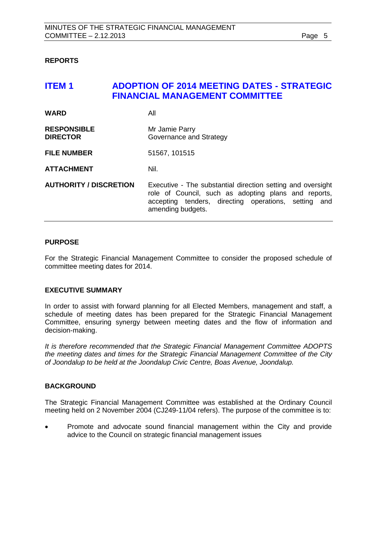## <span id="page-4-0"></span>**REPORTS**

# <span id="page-4-1"></span>**ITEM 1 ADOPTION OF 2014 MEETING DATES - STRATEGIC FINANCIAL MANAGEMENT COMMITTEE**

| <b>WARD</b>                           | All                                                                                                                                                                                              |
|---------------------------------------|--------------------------------------------------------------------------------------------------------------------------------------------------------------------------------------------------|
| <b>RESPONSIBLE</b><br><b>DIRECTOR</b> | Mr Jamie Parry<br>Governance and Strategy                                                                                                                                                        |
| <b>FILE NUMBER</b>                    | 51567, 101515                                                                                                                                                                                    |
| <b>ATTACHMENT</b>                     | Nil.                                                                                                                                                                                             |
| <b>AUTHORITY / DISCRETION</b>         | Executive - The substantial direction setting and oversight<br>role of Council, such as adopting plans and reports,<br>accepting tenders, directing operations, setting and<br>amending budgets. |

#### **PURPOSE**

For the Strategic Financial Management Committee to consider the proposed schedule of committee meeting dates for 2014.

#### **EXECUTIVE SUMMARY**

In order to assist with forward planning for all Elected Members, management and staff, a schedule of meeting dates has been prepared for the Strategic Financial Management Committee, ensuring synergy between meeting dates and the flow of information and decision-making.

*It is therefore recommended that the Strategic Financial Management Committee ADOPTS the meeting dates and times for the Strategic Financial Management Committee of the City of Joondalup to be held at the Joondalup Civic Centre, Boas Avenue, Joondalup.*

#### **BACKGROUND**

The Strategic Financial Management Committee was established at the Ordinary Council meeting held on 2 November 2004 (CJ249-11/04 refers). The purpose of the committee is to:

• Promote and advocate sound financial management within the City and provide advice to the Council on strategic financial management issues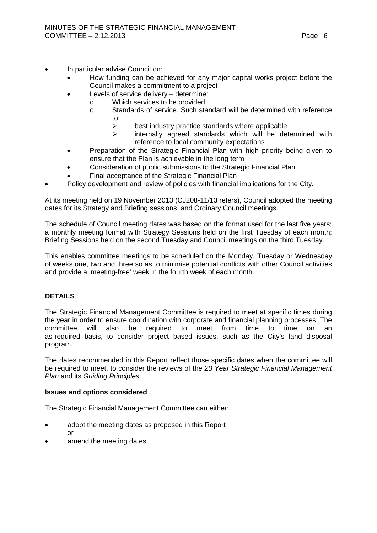- In particular advise Council on:
	- How funding can be achieved for any major capital works project before the Council makes a commitment to a project
	- Levels of service delivery determine:
		- o Which services to be provided<br>
		o Standards of service. Such sta
			- Standards of service. Such standard will be determined with reference to:
				- $\geq$  best industry practice standards where applicable<br> $\geq$  internally agreed standards which will be determined
				- internally agreed standards which will be determined with reference to local community expectations
	- Preparation of the Strategic Financial Plan with high priority being given to ensure that the Plan is achievable in the long term
	- Consideration of public submissions to the Strategic Financial Plan
	- Final acceptance of the Strategic Financial Plan
- Policy development and review of policies with financial implications for the City.

At its meeting held on 19 November 2013 (CJ208-11/13 refers), Council adopted the meeting dates for its Strategy and Briefing sessions, and Ordinary Council meetings.

The schedule of Council meeting dates was based on the format used for the last five years; a monthly meeting format with Strategy Sessions held on the first Tuesday of each month; Briefing Sessions held on the second Tuesday and Council meetings on the third Tuesday.

This enables committee meetings to be scheduled on the Monday, Tuesday or Wednesday of weeks one, two and three so as to minimise potential conflicts with other Council activities and provide a 'meeting-free' week in the fourth week of each month.

# **DETAILS**

The Strategic Financial Management Committee is required to meet at specific times during the year in order to ensure coordination with corporate and financial planning processes. The committee will also be required to meet from time to time on an as-required basis, to consider project based issues, such as the City's land disposal program.

The dates recommended in this Report reflect those specific dates when the committee will be required to meet, to consider the reviews of the *20 Year Strategic Financial Management Plan* and its *Guiding Principles*.

#### **Issues and options considered**

The Strategic Financial Management Committee can either:

- adopt the meeting dates as proposed in this Report or
- amend the meeting dates.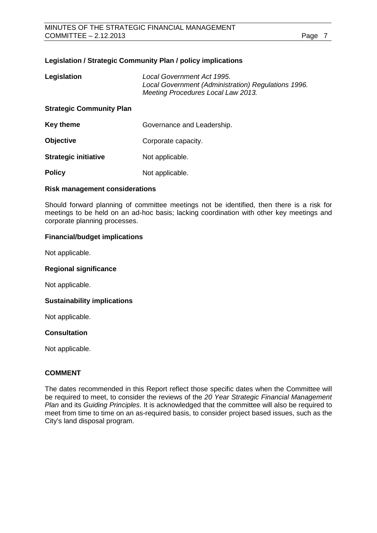## **Legislation / Strategic Community Plan / policy implications**

| Legislation                     | Local Government Act 1995.<br>Local Government (Administration) Regulations 1996.<br>Meeting Procedures Local Law 2013. |
|---------------------------------|-------------------------------------------------------------------------------------------------------------------------|
| <b>Strategic Community Plan</b> |                                                                                                                         |
| <b>Key theme</b>                | Governance and Leadership.                                                                                              |
| <b>Objective</b>                | Corporate capacity.                                                                                                     |
| <b>Strategic initiative</b>     | Not applicable.                                                                                                         |
| <b>Policy</b>                   | Not applicable.                                                                                                         |

#### **Risk management considerations**

Should forward planning of committee meetings not be identified, then there is a risk for meetings to be held on an ad-hoc basis; lacking coordination with other key meetings and corporate planning processes.

#### **Financial/budget implications**

Not applicable.

#### **Regional significance**

Not applicable.

#### **Sustainability implications**

Not applicable.

#### **Consultation**

Not applicable.

# **COMMENT**

The dates recommended in this Report reflect those specific dates when the Committee will be required to meet, to consider the reviews of the *20 Year Strategic Financial Management Plan* and its *Guiding Principles*. It is acknowledged that the committee will also be required to meet from time to time on an as-required basis, to consider project based issues, such as the City's land disposal program.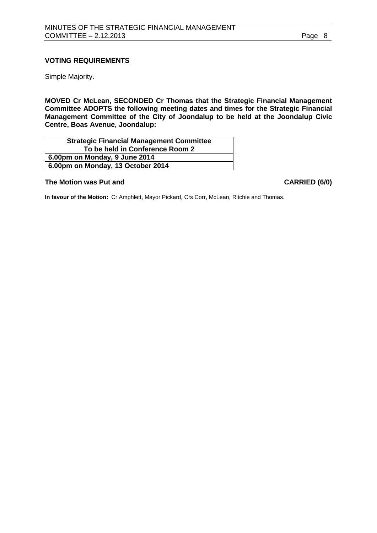# **VOTING REQUIREMENTS**

Simple Majority.

**MOVED Cr McLean, SECONDED Cr Thomas that the Strategic Financial Management Committee ADOPTS the following meeting dates and times for the Strategic Financial Management Committee of the City of Joondalup to be held at the Joondalup Civic Centre, Boas Avenue, Joondalup:**

| <b>Strategic Financial Management Committee</b> |  |
|-------------------------------------------------|--|
| To be held in Conference Room 2                 |  |
| 6.00pm on Monday, 9 June 2014                   |  |
| 6.00pm on Monday, 13 October 2014               |  |

#### **The Motion was Put and CARRIED (6/0)**

**In favour of the Motion:** Cr Amphlett, Mayor Pickard, Crs Corr, McLean, Ritchie and Thomas.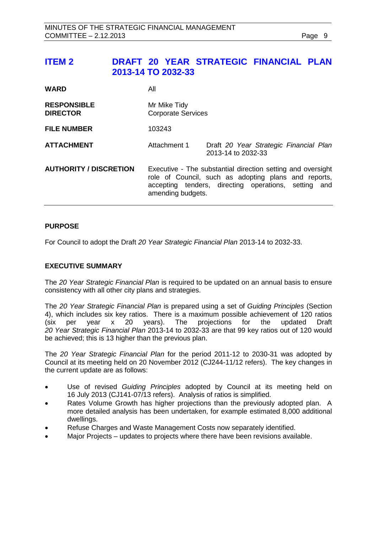# <span id="page-8-0"></span>**ITEM 2 DRAFT 20 YEAR STRATEGIC FINANCIAL PLAN 2013-14 TO 2032-33**

| <b>WARD</b>                           | All                                                                                                                                                                                              |                                                              |  |
|---------------------------------------|--------------------------------------------------------------------------------------------------------------------------------------------------------------------------------------------------|--------------------------------------------------------------|--|
| <b>RESPONSIBLE</b><br><b>DIRECTOR</b> | Mr Mike Tidy<br><b>Corporate Services</b>                                                                                                                                                        |                                                              |  |
| <b>FILE NUMBER</b>                    | 103243                                                                                                                                                                                           |                                                              |  |
| <b>ATTACHMENT</b>                     | Attachment 1                                                                                                                                                                                     | Draft 20 Year Strategic Financial Plan<br>2013-14 to 2032-33 |  |
| <b>AUTHORITY / DISCRETION</b>         | Executive - The substantial direction setting and oversight<br>role of Council, such as adopting plans and reports,<br>accepting tenders, directing operations, setting and<br>amending budgets. |                                                              |  |

#### **PURPOSE**

For Council to adopt the Draft *20 Year Strategic Financial Plan* 2013-14 to 2032-33.

#### **EXECUTIVE SUMMARY**

The *20 Year Strategic Financial Plan* is required to be updated on an annual basis to ensure consistency with all other city plans and strategies.

The *20 Year Strategic Financial Plan* is prepared using a set of *Guiding Principles* (Section 4), which includes six key ratios. There is a maximum possible achievement of 120 ratios (six per year x 20 years). The projections for the updated Draft updated Draft *20 Year Strategic Financial Plan* 2013-14 to 2032-33 are that 99 key ratios out of 120 would be achieved; this is 13 higher than the previous plan.

The *20 Year Strategic Financial Plan* for the period 2011-12 to 2030-31 was adopted by Council at its meeting held on 20 November 2012 (CJ244-11/12 refers). The key changes in the current update are as follows:

- Use of revised *Guiding Principles* adopted by Council at its meeting held on 16 July 2013 (CJ141-07/13 refers). Analysis of ratios is simplified.
- Rates Volume Growth has higher projections than the previously adopted plan. A more detailed analysis has been undertaken, for example estimated 8,000 additional dwellings.
- Refuse Charges and Waste Management Costs now separately identified.
- Major Projects updates to projects where there have been revisions available.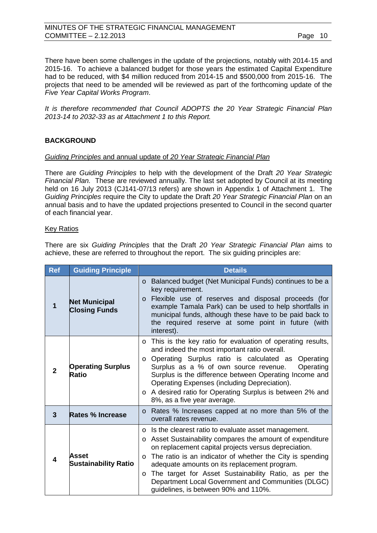There have been some challenges in the update of the projections, notably with 2014-15 and 2015-16. To achieve a balanced budget for those years the estimated Capital Expenditure had to be reduced, with \$4 million reduced from 2014-15 and \$500,000 from 2015-16. The projects that need to be amended will be reviewed as part of the forthcoming update of the *Five Year Capital Works Program*.

*It is therefore recommended that Council ADOPTS the 20 Year Strategic Financial Plan 2013-14 to 2032-33 as at Attachment 1 to this Report.*

# **BACKGROUND**

## *Guiding Principles* and annual update of *20 Year Strategic Financial Plan*

There are *Guiding Principles* to help with the development of the Draft *20 Year Strategic Financial Plan.* These are reviewed annually. The last set adopted by Council at its meeting held on 16 July 2013 (CJ141-07/13 refers) are shown in Appendix 1 of Attachment 1. The *Guiding Principles* require the City to update the Draft *20 Year Strategic Financial Plan* on an annual basis and to have the updated projections presented to Council in the second quarter of each financial year.

#### Key Ratios

There are six *Guiding Principles* that the Draft *20 Year Strategic Financial Plan* aims to achieve, these are referred to throughout the report. The six guiding principles are:

| Ref            | <b>Guiding Principle</b>                     | <b>Details</b>                                                                                                                                                                                                                                                                                                                                                                                                                                                                         |
|----------------|----------------------------------------------|----------------------------------------------------------------------------------------------------------------------------------------------------------------------------------------------------------------------------------------------------------------------------------------------------------------------------------------------------------------------------------------------------------------------------------------------------------------------------------------|
| 1              | <b>Net Municipal</b><br><b>Closing Funds</b> | Balanced budget (Net Municipal Funds) continues to be a<br>$\circ$<br>key requirement.<br>Flexible use of reserves and disposal proceeds (for<br>$\circ$<br>example Tamala Park) can be used to help shortfalls in<br>municipal funds, although these have to be paid back to<br>the required reserve at some point in future (with<br>interest).                                                                                                                                      |
| $\overline{2}$ | <b>Operating Surplus</b><br>Ratio            | This is the key ratio for evaluation of operating results,<br>$\circ$<br>and indeed the most important ratio overall.<br>Operating Surplus ratio is calculated as<br>Operating<br>$\circ$<br>Surplus as a % of own source revenue.<br>Operating<br>Surplus is the difference between Operating Income and<br>Operating Expenses (including Depreciation).<br>o A desired ratio for Operating Surplus is between 2% and<br>8%, as a five year average.                                  |
| $\mathbf{3}$   | Rates % Increase                             | Rates % Increases capped at no more than 5% of the<br>$\circ$<br>overall rates revenue.                                                                                                                                                                                                                                                                                                                                                                                                |
| 4              | Asset<br><b>Sustainability Ratio</b>         | Is the clearest ratio to evaluate asset management.<br>$\circ$<br>Asset Sustainability compares the amount of expenditure<br>$\circ$<br>on replacement capital projects versus depreciation.<br>The ratio is an indicator of whether the City is spending<br>$\circ$<br>adequate amounts on its replacement program.<br>The target for Asset Sustainability Ratio, as per the<br>$\circ$<br>Department Local Government and Communities (DLGC)<br>guidelines, is between 90% and 110%. |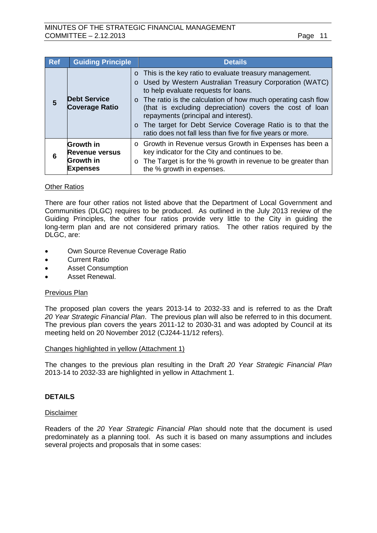| Ref | <b>Guiding Principle</b>                                                         | <b>Details</b>                                                                                                                                                                                                                                                                                                                                                                                                                                                        |
|-----|----------------------------------------------------------------------------------|-----------------------------------------------------------------------------------------------------------------------------------------------------------------------------------------------------------------------------------------------------------------------------------------------------------------------------------------------------------------------------------------------------------------------------------------------------------------------|
| 5   | <b>Debt Service</b><br><b>Coverage Ratio</b>                                     | $\circ$ This is the key ratio to evaluate treasury management.<br>o Used by Western Australian Treasury Corporation (WATC)<br>to help evaluate requests for loans.<br>o The ratio is the calculation of how much operating cash flow<br>(that is excluding depreciation) covers the cost of loan<br>repayments (principal and interest).<br>o The target for Debt Service Coverage Ratio is to that the<br>ratio does not fall less than five for five years or more. |
| 6   | <b>Growth in</b><br><b>Revenue versus</b><br><b>Growth in</b><br><b>Expenses</b> | o Growth in Revenue versus Growth in Expenses has been a<br>key indicator for the City and continues to be.<br>o The Target is for the % growth in revenue to be greater than<br>the % growth in expenses.                                                                                                                                                                                                                                                            |

#### **Other Ratios**

There are four other ratios not listed above that the Department of Local Government and Communities (DLGC) requires to be produced. As outlined in the July 2013 review of the Guiding Principles, the other four ratios provide very little to the City in guiding the long-term plan and are not considered primary ratios. The other ratios required by the DLGC, are:

- Own Source Revenue Coverage Ratio
- Current Ratio
- Asset Consumption
- Asset Renewal.

#### Previous Plan

The proposed plan covers the years 2013-14 to 2032-33 and is referred to as the Draft *20 Year Strategic Financial Plan*. The previous plan will also be referred to in this document. The previous plan covers the years 2011-12 to 2030-31 and was adopted by Council at its meeting held on 20 November 2012 (CJ244-11/12 refers).

#### Changes highlighted in yellow (Attachment 1)

The changes to the previous plan resulting in the Draft *20 Year Strategic Financial Plan*  2013-14 to 2032-33 are highlighted in yellow in Attachment 1.

#### **DETAILS**

#### Disclaimer

Readers of the *20 Year Strategic Financial Plan* should note that the document is used predominately as a planning tool. As such it is based on many assumptions and includes several projects and proposals that in some cases: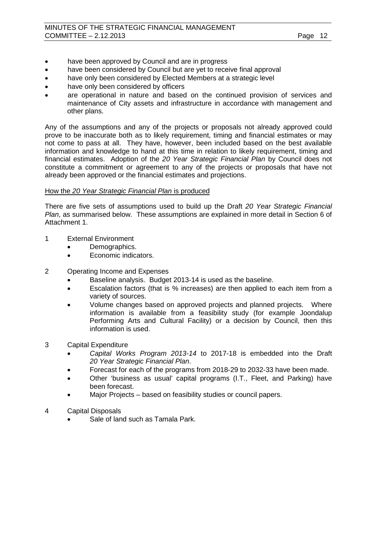- have been approved by Council and are in progress
- have been considered by Council but are yet to receive final approval
- have only been considered by Elected Members at a strategic level
- have only been considered by officers
- are operational in nature and based on the continued provision of services and maintenance of City assets and infrastructure in accordance with management and other plans.

Any of the assumptions and any of the projects or proposals not already approved could prove to be inaccurate both as to likely requirement, timing and financial estimates or may not come to pass at all. They have, however, been included based on the best available information and knowledge to hand at this time in relation to likely requirement, timing and financial estimates. Adoption of the *20 Year Strategic Financial Plan* by Council does not constitute a commitment or agreement to any of the projects or proposals that have not already been approved or the financial estimates and projections.

# How the *20 Year Strategic Financial Plan* is produced

There are five sets of assumptions used to build up the Draft *20 Year Strategic Financial Plan*, as summarised below. These assumptions are explained in more detail in Section 6 of Attachment 1.

- 1 External Environment
	- Demographics.
	- Economic indicators.
- 2 Operating Income and Expenses
	- Baseline analysis. Budget 2013-14 is used as the baseline.
	- Escalation factors (that is % increases) are then applied to each item from a variety of sources.
	- Volume changes based on approved projects and planned projects. Where information is available from a feasibility study (for example Joondalup Performing Arts and Cultural Facility) or a decision by Council, then this information is used.
- 3 Capital Expenditure
	- *Capital Works Program 2013-14* to 2017-18 is embedded into the Draft *20 Year Strategic Financial Plan*.
	- Forecast for each of the programs from 2018-29 to 2032-33 have been made.
	- Other 'business as usual' capital programs (I.T., Fleet, and Parking) have been forecast.
	- Major Projects based on feasibility studies or council papers.
- 4 Capital Disposals
	- Sale of land such as Tamala Park.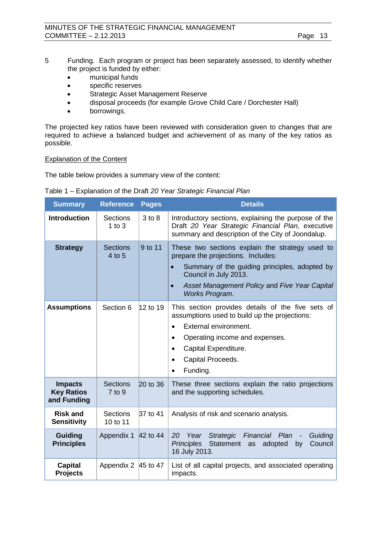- 5 Funding. Each program or project has been separately assessed, to identify whether the project is funded by either:
	- municipal funds
	- specific reserves
	- Strategic Asset Management Reserve
	- disposal proceeds (for example Grove Child Care / Dorchester Hall)
	- borrowings.

The projected key ratios have been reviewed with consideration given to changes that are required to achieve a balanced budget and achievement of as many of the key ratios as possible.

#### Explanation of the Content

The table below provides a summary view of the content:

| <b>Summary</b>                                     | <b>Reference</b>              | <b>Pages</b> | <b>Details</b>                                                                                                                                                                                                                                               |
|----------------------------------------------------|-------------------------------|--------------|--------------------------------------------------------------------------------------------------------------------------------------------------------------------------------------------------------------------------------------------------------------|
| <b>Introduction</b>                                | <b>Sections</b><br>1 to $3$   | $3$ to $8$   | Introductory sections, explaining the purpose of the<br>Draft 20 Year Strategic Financial Plan, executive<br>summary and description of the City of Joondalup.                                                                                               |
| <b>Strategy</b>                                    | <b>Sections</b><br>4 to 5     | 9 to 11      | These two sections explain the strategy used to<br>prepare the projections. Includes:<br>Summary of the guiding principles, adopted by<br>$\bullet$<br>Council in July 2013.<br>Asset Management Policy and Five Year Capital<br>$\bullet$<br>Works Program. |
| <b>Assumptions</b>                                 | Section 6                     | 12 to 19     | This section provides details of the five sets of<br>assumptions used to build up the projections:<br>External environment.<br>Operating income and expenses.<br>Capital Expenditure.<br>$\bullet$<br>Capital Proceeds.<br>Funding.                          |
| <b>Impacts</b><br><b>Key Ratios</b><br>and Funding | <b>Sections</b><br>$7$ to $9$ | $20$ to 36   | These three sections explain the ratio projections<br>and the supporting schedules.                                                                                                                                                                          |
| <b>Risk and</b><br><b>Sensitivity</b>              | <b>Sections</b><br>10 to 11   | 37 to 41     | Analysis of risk and scenario analysis.                                                                                                                                                                                                                      |
| <b>Guiding</b><br><b>Principles</b>                | Appendix 1                    | 42 to 44     | Year<br>Strategic<br>Financial Plan<br>Guiding<br>20<br>Statement as<br><b>Principles</b><br>adopted<br>Council<br>by<br>16 July 2013.                                                                                                                       |
| <b>Capital</b><br><b>Projects</b>                  | Appendix 2 45 to 47           |              | List of all capital projects, and associated operating<br>impacts.                                                                                                                                                                                           |

Table 1 – Explanation of the Draft *20 Year Strategic Financial Plan*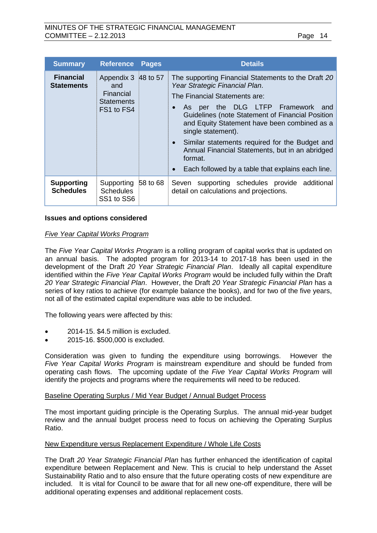| <b>Summary</b>                        | <b>Reference</b>                                                           | <b>Pages</b> | <b>Details</b>                                                                                                                                                                                                                                                                                                                                                                                                                                                  |
|---------------------------------------|----------------------------------------------------------------------------|--------------|-----------------------------------------------------------------------------------------------------------------------------------------------------------------------------------------------------------------------------------------------------------------------------------------------------------------------------------------------------------------------------------------------------------------------------------------------------------------|
| <b>Financial</b><br><b>Statements</b> | Appendix 3 48 to 57<br>and<br>Financial<br><b>Statements</b><br>FS1 to FS4 |              | The supporting Financial Statements to the Draft 20<br>Year Strategic Financial Plan.<br>The Financial Statements are:<br>As per the DLG LTFP Framework<br>and<br>Guidelines (note Statement of Financial Position<br>and Equity Statement have been combined as a<br>single statement).<br>• Similar statements required for the Budget and<br>Annual Financial Statements, but in an abridged<br>format.<br>Each followed by a table that explains each line. |
| <b>Supporting</b><br><b>Schedules</b> | Supporting<br><b>Schedules</b><br>SS1 to SS6                               | 58 to 68     | Seven supporting schedules provide additional<br>detail on calculations and projections.                                                                                                                                                                                                                                                                                                                                                                        |

#### **Issues and options considered**

#### *Five Year Capital Works Program*

The *Five Year Capital Works Program* is a rolling program of capital works that is updated on an annual basis. The adopted program for 2013-14 to 2017-18 has been used in the development of the Draft *20 Year Strategic Financial Plan*. Ideally all capital expenditure identified within the *Five Year Capital Works Program* would be included fully within the Draft *20 Year Strategic Financial Plan*. However, the Draft *20 Year Strategic Financial Plan* has a series of key ratios to achieve (for example balance the books), and for two of the five years, not all of the estimated capital expenditure was able to be included.

The following years were affected by this:

- 2014-15. \$4.5 million is excluded.
- 2015-16. \$500,000 is excluded.

Consideration was given to funding the expenditure using borrowings. However the *Five Year Capital Works Program* is mainstream expenditure and should be funded from operating cash flows. The upcoming update of the *Five Year Capital Works Program* will identify the projects and programs where the requirements will need to be reduced.

#### Baseline Operating Surplus / Mid Year Budget / Annual Budget Process

The most important guiding principle is the Operating Surplus. The annual mid-year budget review and the annual budget process need to focus on achieving the Operating Surplus Ratio.

#### New Expenditure versus Replacement Expenditure / Whole Life Costs

The Draft *20 Year Strategic Financial Plan* has further enhanced the identification of capital expenditure between Replacement and New. This is crucial to help understand the Asset Sustainability Ratio and to also ensure that the future operating costs of new expenditure are included. It is vital for Council to be aware that for all new one-off expenditure, there will be additional operating expenses and additional replacement costs.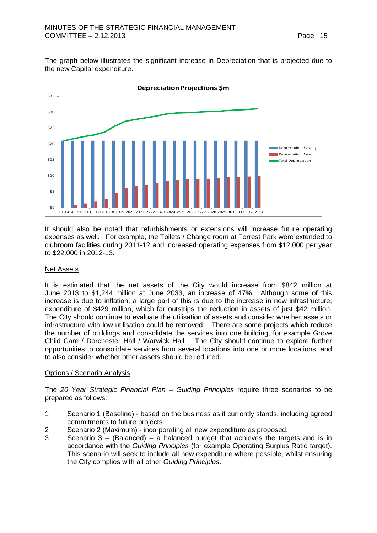The graph below illustrates the significant increase in Depreciation that is projected due to the new Capital expenditure.



It should also be noted that refurbishments or extensions will increase future operating expenses as well. For example, the Toilets / Change room at Forrest Park were extended to clubroom facilities during 2011-12 and increased operating expenses from \$12,000 per year to \$22,000 in 2012-13.

# Net Assets

It is estimated that the net assets of the City would increase from \$842 million at June 2013 to \$1,244 million at June 2033, an increase of 47%. Although some of this increase is due to inflation, a large part of this is due to the increase in new infrastructure, expenditure of \$429 million, which far outstrips the reduction in assets of just \$42 million. The City should continue to evaluate the utilisation of assets and consider whether assets or infrastructure with low utilisation could be removed. There are some projects which reduce the number of buildings and consolidate the services into one building, for example Grove Child Care / Dorchester Hall / Warwick Hall. The City should continue to explore further opportunities to consolidate services from several locations into one or more locations, and to also consider whether other assets should be reduced.

#### Options / Scenario Analysis

The *20 Year Strategic Financial Plan – Guiding Principles* require three scenarios to be prepared as follows:

- 1 Scenario 1 (Baseline) based on the business as it currently stands, including agreed commitments to future projects.
- 2 Scenario 2 (Maximum) incorporating all new expenditure as proposed.
- 3 Scenario 3 (Balanced) a balanced budget that achieves the targets and is in accordance with the *Guiding Principles* (for example Operating Surplus Ratio target). This scenario will seek to include all new expenditure where possible, whilst ensuring the City complies with all other *Guiding Principles*.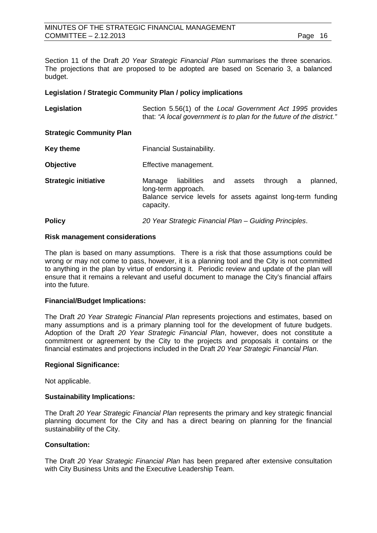Section 11 of the Draft *20 Year Strategic Financial Plan* summarises the three scenarios. The projections that are proposed to be adopted are based on Scenario 3, a balanced budget.

#### **Legislation / Strategic Community Plan / policy implications**

| Legislation                     | Section 5.56(1) of the Local Government Act 1995 provides<br>that: "A local government is to plan for the future of the district."                                 |
|---------------------------------|--------------------------------------------------------------------------------------------------------------------------------------------------------------------|
| <b>Strategic Community Plan</b> |                                                                                                                                                                    |
| Key theme                       | Financial Sustainability.                                                                                                                                          |
| <b>Objective</b>                | Effective management.                                                                                                                                              |
| <b>Strategic initiative</b>     | through a<br>liabilities<br>assets<br>planned,<br>Manage<br>and<br>long-term approach.<br>Balance service levels for assets against long-term funding<br>capacity. |

#### **Policy** *20 Year Strategic Financial Plan – Guiding Principles*.

#### **Risk management considerations**

The plan is based on many assumptions. There is a risk that those assumptions could be wrong or may not come to pass, however, it is a planning tool and the City is not committed to anything in the plan by virtue of endorsing it. Periodic review and update of the plan will ensure that it remains a relevant and useful document to manage the City's financial affairs into the future.

#### **Financial/Budget Implications:**

The Draft *20 Year Strategic Financial Plan* represents projections and estimates, based on many assumptions and is a primary planning tool for the development of future budgets. Adoption of the Draft *20 Year Strategic Financial Plan*, however, does not constitute a commitment or agreement by the City to the projects and proposals it contains or the financial estimates and projections included in the Draft *20 Year Strategic Financial Plan*.

#### **Regional Significance:**

Not applicable.

#### **Sustainability Implications:**

The Draft *20 Year Strategic Financial Plan* represents the primary and key strategic financial planning document for the City and has a direct bearing on planning for the financial sustainability of the City.

#### **Consultation:**

The Draft *20 Year Strategic Financial Plan* has been prepared after extensive consultation with City Business Units and the Executive Leadership Team.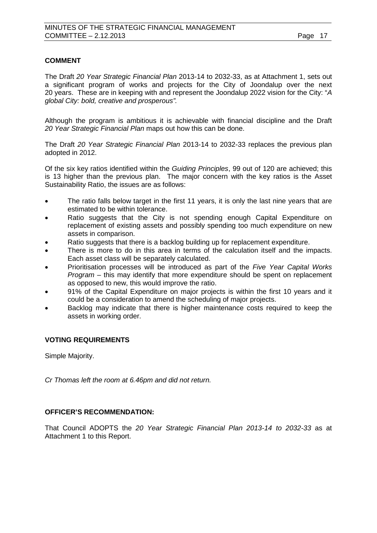# **COMMENT**

The Draft *20 Year Strategic Financial Plan* 2013-14 to 2032-33, as at Attachment 1, sets out a significant program of works and projects for the City of Joondalup over the next 20 years. These are in keeping with and represent the Joondalup 2022 vision for the City: "*A global City: bold, creative and prosperous".*

Although the program is ambitious it is achievable with financial discipline and the Draft *20 Year Strategic Financial Plan* maps out how this can be done.

The Draft *20 Year Strategic Financial Plan* 2013-14 to 2032-33 replaces the previous plan adopted in 2012.

Of the six key ratios identified within the *Guiding Principles*, 99 out of 120 are achieved; this is 13 higher than the previous plan. The major concern with the key ratios is the Asset Sustainability Ratio, the issues are as follows:

- The ratio falls below target in the first 11 years, it is only the last nine years that are estimated to be within tolerance.
- Ratio suggests that the City is not spending enough Capital Expenditure on replacement of existing assets and possibly spending too much expenditure on new assets in comparison.
- Ratio suggests that there is a backlog building up for replacement expenditure.
- There is more to do in this area in terms of the calculation itself and the impacts. Each asset class will be separately calculated.
- Prioritisation processes will be introduced as part of the *Five Year Capital Works Program* – this may identify that more expenditure should be spent on replacement as opposed to new, this would improve the ratio.
- 91% of the Capital Expenditure on major projects is within the first 10 years and it could be a consideration to amend the scheduling of major projects.
- Backlog may indicate that there is higher maintenance costs required to keep the assets in working order.

# **VOTING REQUIREMENTS**

Simple Majority.

*Cr Thomas left the room at 6.46pm and did not return.*

# **OFFICER'S RECOMMENDATION:**

That Council ADOPTS the *20 Year Strategic Financial Plan 2013-14 to 2032-33* as at Attachment 1 to this Report.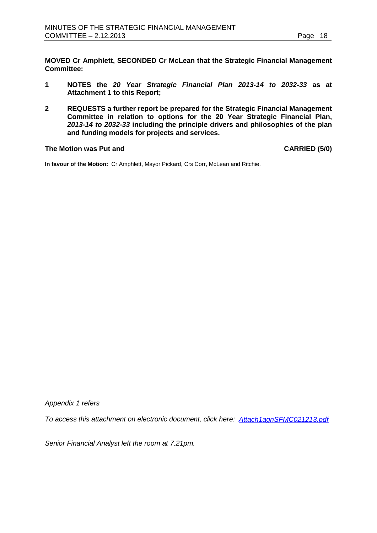**MOVED Cr Amphlett, SECONDED Cr McLean that the Strategic Financial Management Committee:**

- **1 NOTES the** *20 Year Strategic Financial Plan 2013-14 to 2032-33* **as at Attachment 1 to this Report;**
- **2 REQUESTS a further report be prepared for the Strategic Financial Management Committee in relation to options for the 20 Year Strategic Financial Plan,**  *2013-14 to 2032-33* **including the principle drivers and philosophies of the plan and funding models for projects and services.**

#### **The Motion was Put and CARRIED (5/0)**

**In favour of the Motion:** Cr Amphlett, Mayor Pickard, Crs Corr, McLean and Ritchie.

*Appendix 1 refers*

*To access this attachment on electronic document, click h[ere: Attach1agnSFMC021213.pdf](http://www.joondalup.wa.gov.au/files/committees/SFMC/2013/Attach1agnSFMC021213.pdf)*

*Senior Financial Analyst left the room at 7.21pm.*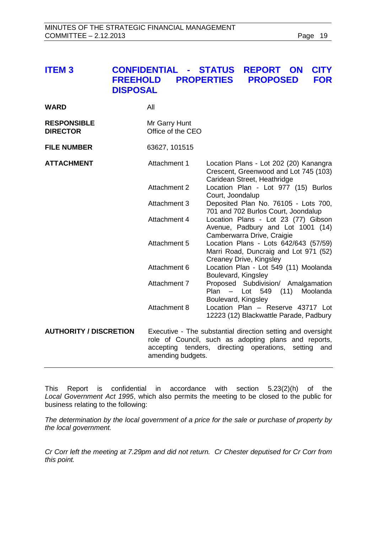# <span id="page-18-0"></span>**ITEM 3 CONFIDENTIAL - STATUS REPORT ON CITY FROPOSED DISPOSAL**

| <b>WARD</b>                           | All                                |                                                                                                                                                                                |
|---------------------------------------|------------------------------------|--------------------------------------------------------------------------------------------------------------------------------------------------------------------------------|
| <b>RESPONSIBLE</b><br><b>DIRECTOR</b> | Mr Garry Hunt<br>Office of the CEO |                                                                                                                                                                                |
| <b>FILE NUMBER</b>                    | 63627, 101515                      |                                                                                                                                                                                |
| <b>ATTACHMENT</b>                     | Attachment 1                       | Location Plans - Lot 202 (20) Kanangra<br>Crescent, Greenwood and Lot 745 (103)<br>Caridean Street, Heathridge                                                                 |
|                                       | Attachment 2                       | Location Plan - Lot 977 (15) Burlos<br>Court, Joondalup                                                                                                                        |
|                                       | <b>Attachment 3</b>                | Deposited Plan No. 76105 - Lots 700,<br>701 and 702 Burlos Court, Joondalup                                                                                                    |
|                                       | Attachment 4                       | Location Plans - Lot 23 (77) Gibson<br>Avenue, Padbury and Lot 1001 (14)<br>Camberwarra Drive, Craigie                                                                         |
|                                       | Attachment 5                       | Location Plans - Lots 642/643 (57/59)<br>Marri Road, Duncraig and Lot 971 (52)<br>Creaney Drive, Kingsley                                                                      |
|                                       | Attachment 6                       | Location Plan - Lot 549 (11) Moolanda<br>Boulevard, Kingsley                                                                                                                   |
|                                       | Attachment 7                       | Proposed Subdivision/ Amalgamation<br>Plan<br>(11)<br>Moolanda<br>- Lot 549<br>Boulevard, Kingsley                                                                             |
|                                       | Attachment 8                       | Location Plan - Reserve 43717 Lot<br>12223 (12) Blackwattle Parade, Padbury                                                                                                    |
| <b>AUTHORITY / DISCRETION</b>         | amending budgets.                  | Executive - The substantial direction setting and oversight<br>role of Council, such as adopting plans and reports,<br>accepting tenders, directing operations,<br>setting and |

This Report is confidential in accordance with section 5.23(2)(h) of the *Local Government Act 1995*, which also permits the meeting to be closed to the public for business relating to the following:

*The determination by the local government of a price for the sale or purchase of property by the local government.*

*Cr Corr left the meeting at 7.29pm and did not return. Cr Chester deputised for Cr Corr from this point.*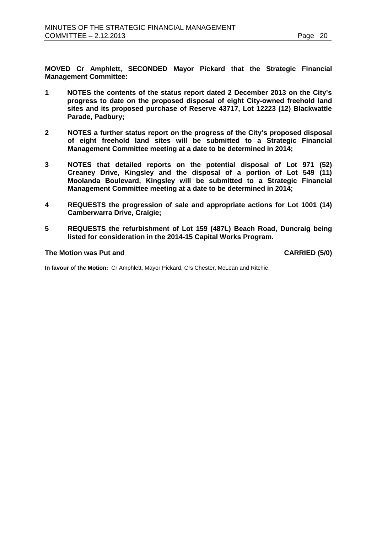**MOVED Cr Amphlett, SECONDED Mayor Pickard that the Strategic Financial Management Committee:**

- **1 NOTES the contents of the status report dated 2 December 2013 on the City's progress to date on the proposed disposal of eight City-owned freehold land sites and its proposed purchase of Reserve 43717, Lot 12223 (12) Blackwattle Parade, Padbury;**
- **2 NOTES a further status report on the progress of the City's proposed disposal of eight freehold land sites will be submitted to a Strategic Financial Management Committee meeting at a date to be determined in 2014;**
- **3 NOTES that detailed reports on the potential disposal of Lot 971 (52) Creaney Drive, Kingsley and the disposal of a portion of Lot 549 (11) Moolanda Boulevard, Kingsley will be submitted to a Strategic Financial Management Committee meeting at a date to be determined in 2014;**
- **4 REQUESTS the progression of sale and appropriate actions for Lot 1001 (14) Camberwarra Drive, Craigie;**
- **5 REQUESTS the refurbishment of Lot 159 (487L) Beach Road, Duncraig being listed for consideration in the 2014-15 Capital Works Program.**

#### **The Motion was Put and CARRIED (5/0)**

**In favour of the Motion:** Cr Amphlett, Mayor Pickard, Crs Chester, McLean and Ritchie.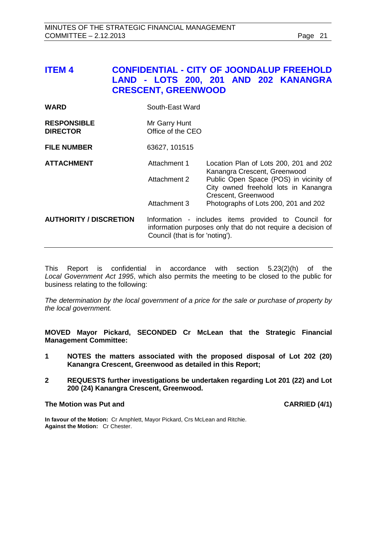# <span id="page-20-0"></span>**ITEM 4 CONFIDENTIAL - CITY OF JOONDALUP FREEHOLD LAND - LOTS 200, 201 AND 202 KANANGRA CRESCENT, GREENWOOD**

| <b>WARD</b>                           | South-East Ward                                                                                                                                        |                                                                                                                                                                                 |
|---------------------------------------|--------------------------------------------------------------------------------------------------------------------------------------------------------|---------------------------------------------------------------------------------------------------------------------------------------------------------------------------------|
| <b>RESPONSIBLE</b><br><b>DIRECTOR</b> | Mr Garry Hunt<br>Office of the CEO                                                                                                                     |                                                                                                                                                                                 |
| <b>FILE NUMBER</b>                    | 63627, 101515                                                                                                                                          |                                                                                                                                                                                 |
| <b>ATTACHMENT</b>                     | Attachment 1<br>Attachment 2                                                                                                                           | Location Plan of Lots 200, 201 and 202<br>Kanangra Crescent, Greenwood<br>Public Open Space (POS) in vicinity of<br>City owned freehold lots in Kanangra<br>Crescent, Greenwood |
|                                       | Attachment 3                                                                                                                                           | Photographs of Lots 200, 201 and 202                                                                                                                                            |
| <b>AUTHORITY / DISCRETION</b>         | Information - includes items provided to Council for<br>information purposes only that do not require a decision of<br>Council (that is for 'noting'). |                                                                                                                                                                                 |

This Report is confidential in accordance with section 5.23(2)(h) of the *Local Government Act 1995*, which also permits the meeting to be closed to the public for business relating to the following:

*The determination by the local government of a price for the sale or purchase of property by the local government.*

**MOVED Mayor Pickard, SECONDED Cr McLean that the Strategic Financial Management Committee:**

- **1 NOTES the matters associated with the proposed disposal of Lot 202 (20) Kanangra Crescent, Greenwood as detailed in this Report;**
- **2 REQUESTS further investigations be undertaken regarding Lot 201 (22) and Lot 200 (24) Kanangra Crescent, Greenwood.**

#### **The Motion was Put and CARRIED (4/1)**

**In favour of the Motion:** Cr Amphlett, Mayor Pickard, Crs McLean and Ritchie. **Against the Motion:** Cr Chester.